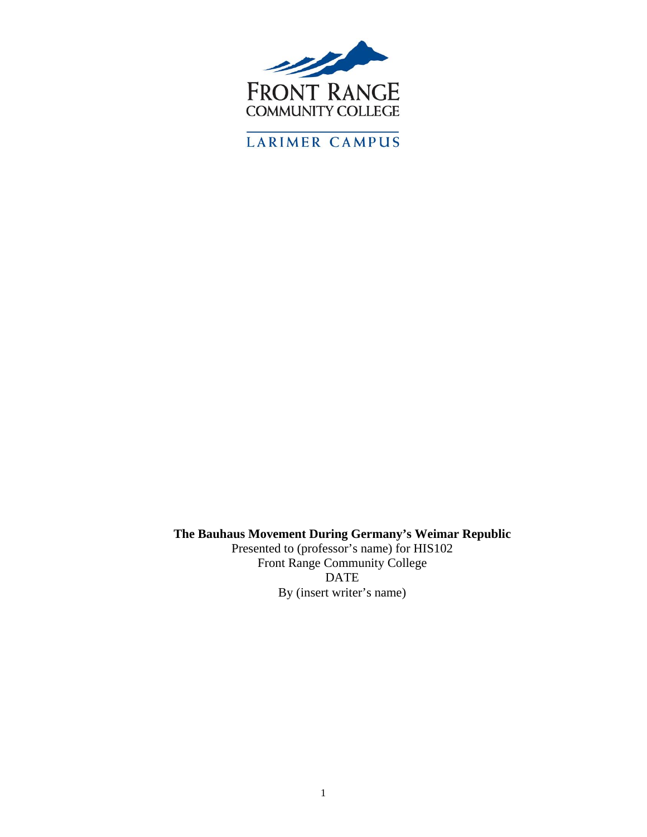

**The Bauhaus Movement During Germany's Weimar Republic** 

Presented to (professor's name) for HIS102 Front Range Community College DATE By (insert writer's name)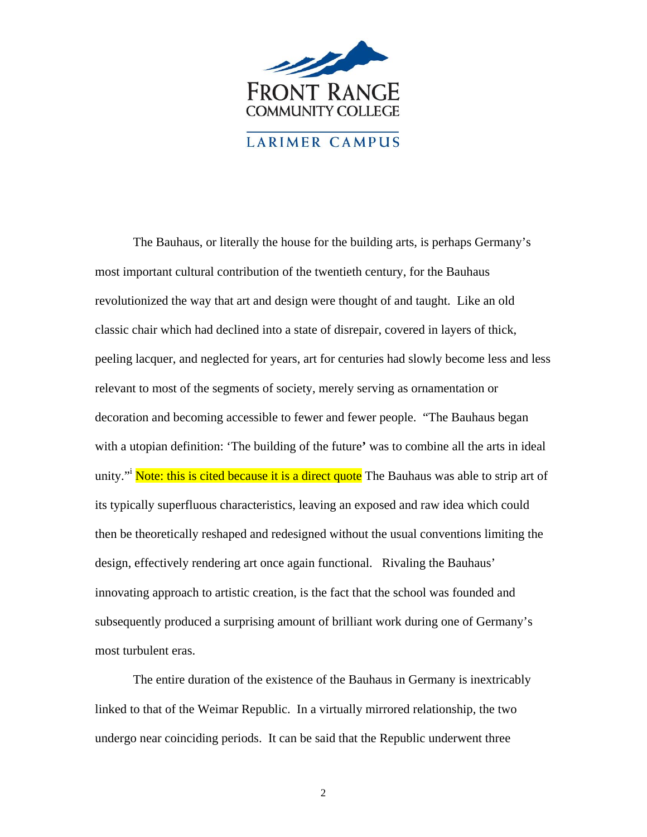

The Bauhaus, or literally the house for the building arts, is perhaps Germany's most important cultural contribution of the twentieth century, for the Bauhaus revolutionized the way that art and design were thought of and taught. Like an old classic chair which had declined into a state of disrepair, covered in layers of thick, peeling lacquer, and neglected for years, art for centuries had slowly become less and less relevant to most of the segments of society, merely serving as ornamentation or decoration and becoming accessible to fewer and fewer people. "The Bauhaus began with a utopian definition: 'The building of the future**'** was to combine all the arts in ideal unity."<sup>i</sup> Note: this is cited because it is a direct quote The Bauhaus was able to strip art of its typically superfluous characteristics, leaving an exposed and raw idea which could then be theoretically reshaped and redesigned without the usual conventions limiting the design, effectively rendering art once again functional. Rivaling the Bauhaus' innovating approach to artistic creation, is the fact that the school was founded and subsequently produced a surprising amount of brilliant work during one of Germany's most turbulent eras.

The entire duration of the existence of the Bauhaus in Germany is inextricably linked to that of the Weimar Republic. In a virtually mirrored relationship, the two undergo near coinciding periods. It can be said that the Republic underwent three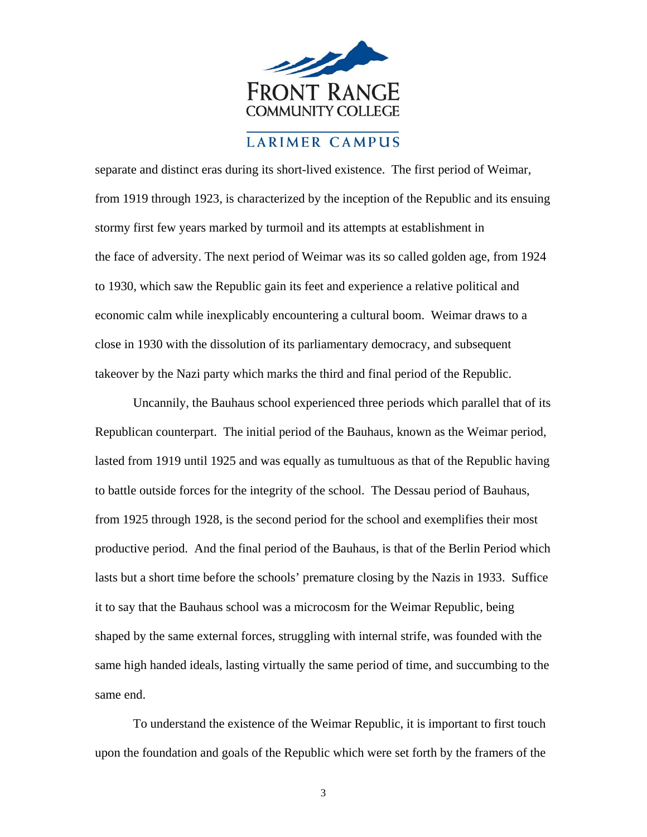

separate and distinct eras during its short-lived existence. The first period of Weimar, from 1919 through 1923, is characterized by the inception of the Republic and its ensuing stormy first few years marked by turmoil and its attempts at establishment in the face of adversity. The next period of Weimar was its so called golden age, from 1924 to 1930, which saw the Republic gain its feet and experience a relative political and economic calm while inexplicably encountering a cultural boom. Weimar draws to a close in 1930 with the dissolution of its parliamentary democracy, and subsequent takeover by the Nazi party which marks the third and final period of the Republic.

Uncannily, the Bauhaus school experienced three periods which parallel that of its Republican counterpart. The initial period of the Bauhaus, known as the Weimar period, lasted from 1919 until 1925 and was equally as tumultuous as that of the Republic having to battle outside forces for the integrity of the school. The Dessau period of Bauhaus, from 1925 through 1928, is the second period for the school and exemplifies their most productive period. And the final period of the Bauhaus, is that of the Berlin Period which lasts but a short time before the schools' premature closing by the Nazis in 1933. Suffice it to say that the Bauhaus school was a microcosm for the Weimar Republic, being shaped by the same external forces, struggling with internal strife, was founded with the same high handed ideals, lasting virtually the same period of time, and succumbing to the same end.

To understand the existence of the Weimar Republic, it is important to first touch upon the foundation and goals of the Republic which were set forth by the framers of the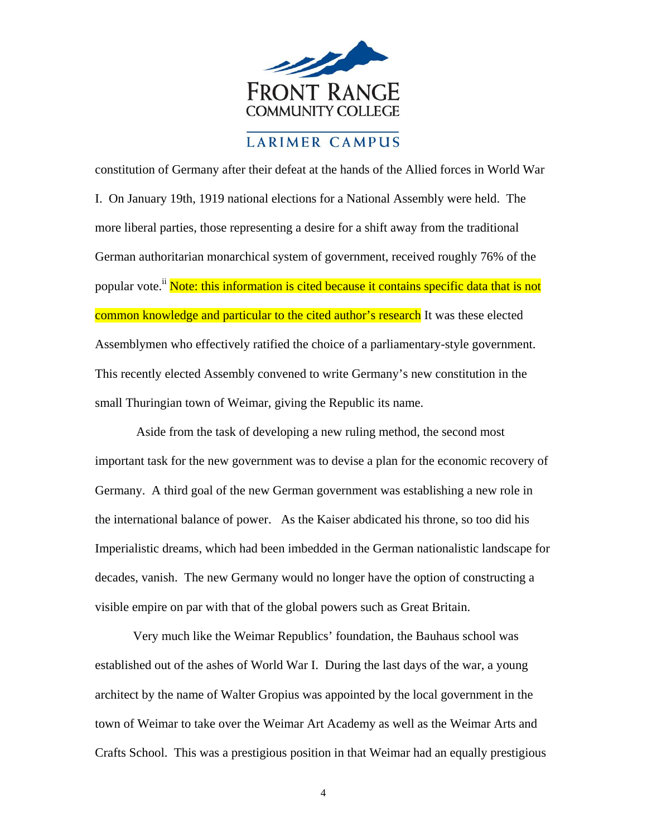

constitution of Germany after their defeat at the hands of the Allied forces in World War I. On January 19th, 1919 national elections for a National Assembly were held. The more liberal parties, those representing a desire for a shift away from the traditional German authoritarian monarchical system of government, received roughly 76% of the popular vote.<sup>ii</sup> Note: this information is cited because it contains specific data that is not common knowledge and particular to the cited author's research It was these elected Assemblymen who effectively ratified the choice of a parliamentary-style government. This recently elected Assembly convened to write Germany's new constitution in the small Thuringian town of Weimar, giving the Republic its name.

 Aside from the task of developing a new ruling method, the second most important task for the new government was to devise a plan for the economic recovery of Germany. A third goal of the new German government was establishing a new role in the international balance of power. As the Kaiser abdicated his throne, so too did his Imperialistic dreams, which had been imbedded in the German nationalistic landscape for decades, vanish. The new Germany would no longer have the option of constructing a visible empire on par with that of the global powers such as Great Britain.

Very much like the Weimar Republics' foundation, the Bauhaus school was established out of the ashes of World War I. During the last days of the war, a young architect by the name of Walter Gropius was appointed by the local government in the town of Weimar to take over the Weimar Art Academy as well as the Weimar Arts and Crafts School. This was a prestigious position in that Weimar had an equally prestigious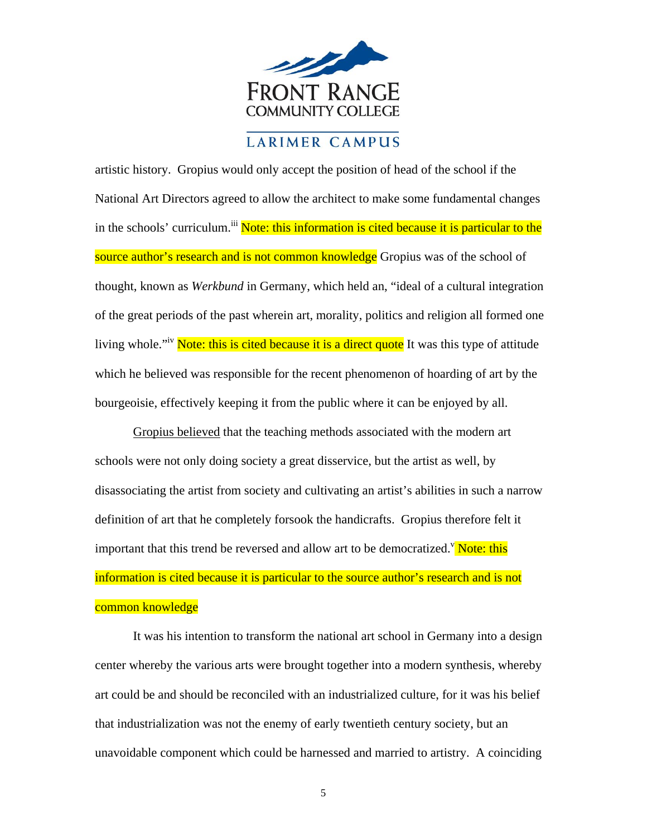

artistic history. Gropius would only accept the position of head of the school if the National Art Directors agreed to allow the architect to make some fundamental changes in the schools' curriculum.<sup>iii</sup> Note: this information is cited because it is particular to the source author's research and is not common knowledge Gropius was of the school of thought, known as *Werkbund* in Germany, which held an, "ideal of a cultural integration of the great periods of the past wherein art, morality, politics and religion all formed one living whole.<sup>"iv</sup> Note: this is cited because it is a direct quote It was this type of attitude which he believed was responsible for the recent phenomenon of hoarding of art by the bourgeoisie, effectively keeping it from the public where it can be enjoyed by all.

Gropius believed that the teaching methods associated with the modern art schools were not only doing society a great disservice, but the artist as well, by disassociating the artist from society and cultivating an artist's abilities in such a narrow definition of art that he completely forsook the handicrafts. Gropius therefore felt it important that this trend be reversed and allow art to be democratized.<sup>V</sup> Note: this information is cited because it is particular to the source author's research and is not common knowledge

It was his intention to transform the national art school in Germany into a design center whereby the various arts were brought together into a modern synthesis, whereby art could be and should be reconciled with an industrialized culture, for it was his belief that industrialization was not the enemy of early twentieth century society, but an unavoidable component which could be harnessed and married to artistry. A coinciding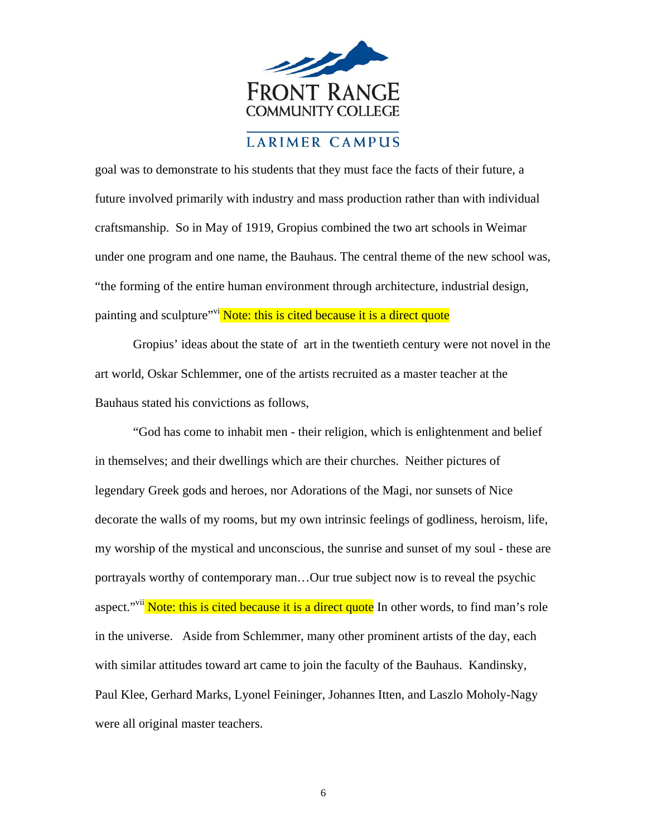

goal was to demonstrate to his students that they must face the facts of their future, a future involved primarily with industry and mass production rather than with individual craftsmanship. So in May of 1919, Gropius combined the two art schools in Weimar under one program and one name, the Bauhaus. The central theme of the new school was, "the forming of the entire human environment through architecture, industrial design, painting and sculpture<sup>"vi</sup> Note: this is cited because it is a direct quote

Gropius' ideas about the state of art in the twentieth century were not novel in the art world, Oskar Schlemmer, one of the artists recruited as a master teacher at the Bauhaus stated his convictions as follows,

"God has come to inhabit men - their religion, which is enlightenment and belief in themselves; and their dwellings which are their churches. Neither pictures of legendary Greek gods and heroes, nor Adorations of the Magi, nor sunsets of Nice decorate the walls of my rooms, but my own intrinsic feelings of godliness, heroism, life, my worship of the mystical and unconscious, the sunrise and sunset of my soul - these are portrayals worthy of contemporary man…Our true subject now is to reveal the psychic aspect."<sup>vii</sup> Note: this is cited because it is a direct quote In other words, to find man's role in the universe. Aside from Schlemmer, many other prominent artists of the day, each with similar attitudes toward art came to join the faculty of the Bauhaus. Kandinsky, Paul Klee, Gerhard Marks, Lyonel Feininger, Johannes Itten, and Laszlo Moholy-Nagy were all original master teachers.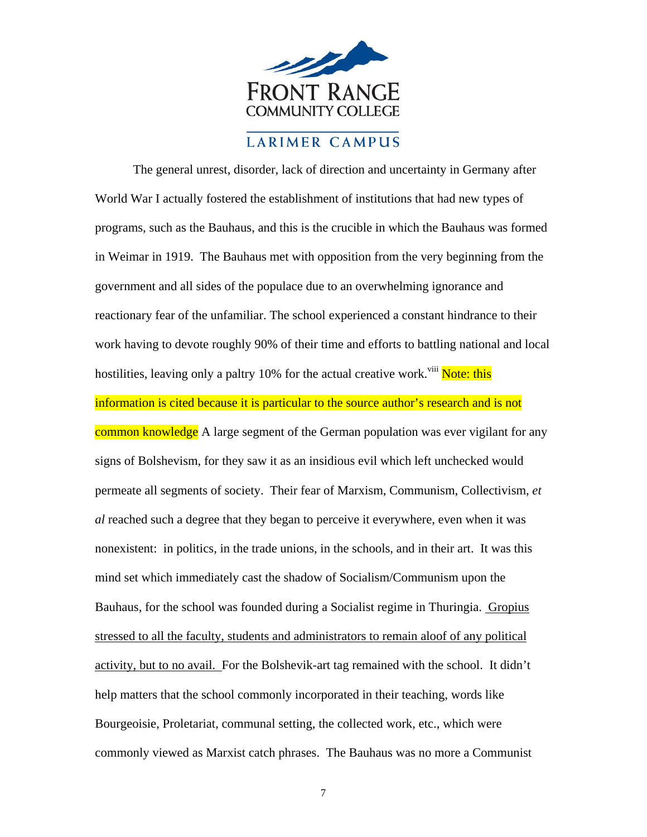

The general unrest, disorder, lack of direction and uncertainty in Germany after World War I actually fostered the establishment of institutions that had new types of programs, such as the Bauhaus, and this is the crucible in which the Bauhaus was formed in Weimar in 1919. The Bauhaus met with opposition from the very beginning from the government and all sides of the populace due to an overwhelming ignorance and reactionary fear of the unfamiliar. The school experienced a constant hindrance to their work having to devote roughly 90% of their time and efforts to battling national and local hostilities, leaving only a paltry 10% for the actual creative work.<sup>viii</sup> Note: this information is cited because it is particular to the source author's research and is not common knowledge A large segment of the German population was ever vigilant for any signs of Bolshevism, for they saw it as an insidious evil which left unchecked would permeate all segments of society. Their fear of Marxism, Communism, Collectivism, *et al* reached such a degree that they began to perceive it everywhere, even when it was nonexistent: in politics, in the trade unions, in the schools, and in their art. It was this mind set which immediately cast the shadow of Socialism/Communism upon the Bauhaus, for the school was founded during a Socialist regime in Thuringia. Gropius stressed to all the faculty, students and administrators to remain aloof of any political activity, but to no avail. For the Bolshevik-art tag remained with the school. It didn't help matters that the school commonly incorporated in their teaching, words like Bourgeoisie, Proletariat, communal setting, the collected work, etc., which were commonly viewed as Marxist catch phrases. The Bauhaus was no more a Communist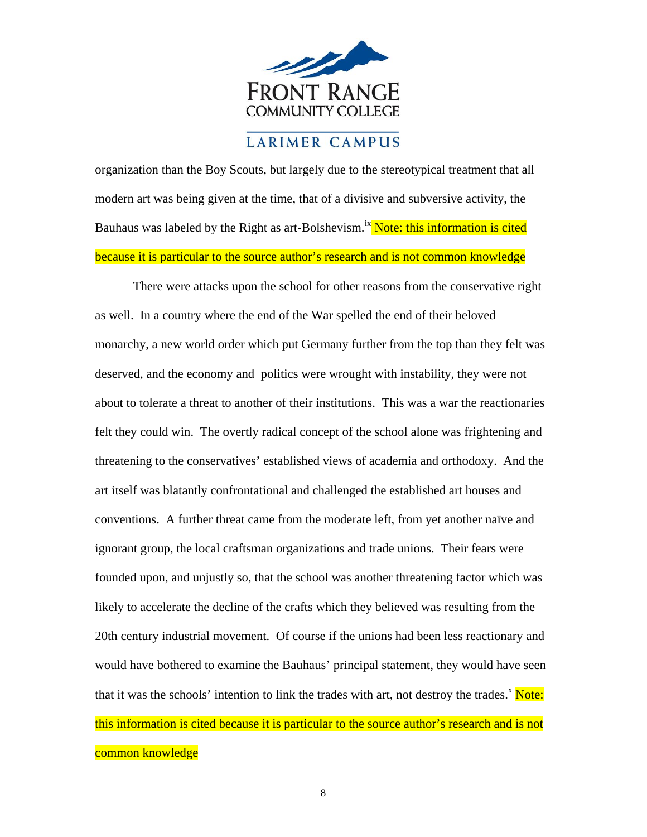

because it is particular to the source author's research and is not common knowledge organization than the Boy Scouts, but largely due to the stereotypical treatment that all modern art was being given at the time, that of a divisive and subversive activity, the Bauhaus was labeled by the Right as art-Bolshevism.<sup>ix</sup> Note: this information is cited

There were attacks upon the school for other reasons from the conservative right as well. In a country where the end of the War spelled the end of their beloved monarchy, a new world order which put Germany further from the top than they felt was deserved, and the economy and politics were wrought with instability, they were not about to tolerate a threat to another of their institutions. This was a war the reactionaries felt they could win. The overtly radical concept of the school alone was frightening and threatening to the conservatives' established views of academia and orthodoxy. And the art itself was blatantly confrontational and challenged the established art houses and conventions. A further threat came from the moderate left, from yet another naïve and ignorant group, the local craftsman organizations and trade unions. Their fears were founded upon, and unjustly so, that the school was another threatening factor which was likely to accelerate the decline of the crafts which they believed was resulting from the 20th century industrial movement. Of course if the unions had been less reactionary and would have bothered to examine the Bauhaus' principal statement, they would have seen that it was the schools' intention to link the trades with art, not destroy the trades.<sup>x</sup> Note: this information is cited because it is particular to the source author's research and is not common knowledge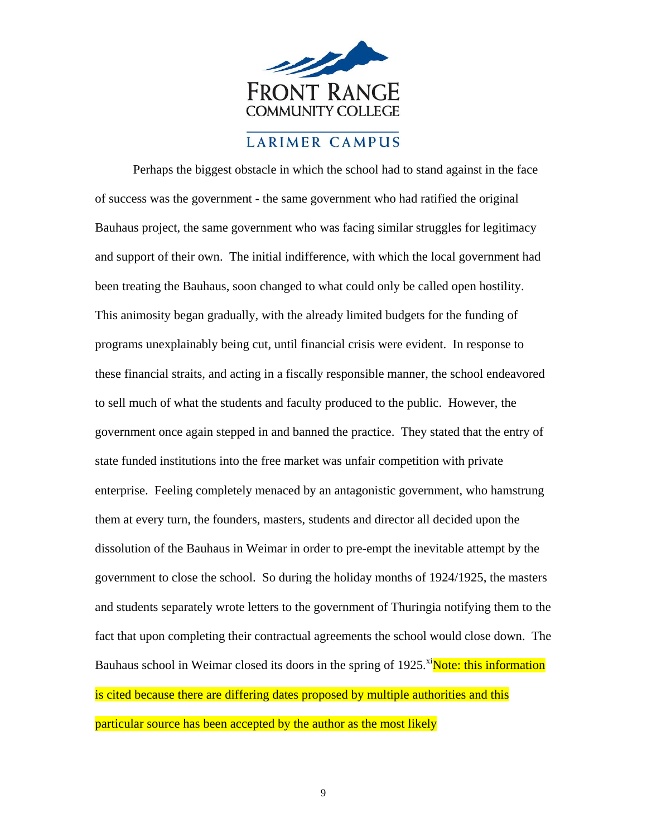

Perhaps the biggest obstacle in which the school had to stand against in the face of success was the government - the same government who had ratified the original Bauhaus project, the same government who was facing similar struggles for legitimacy and support of their own. The initial indifference, with which the local government had been treating the Bauhaus, soon changed to what could only be called open hostility. This animosity began gradually, with the already limited budgets for the funding of programs unexplainably being cut, until financial crisis were evident. In response to these financial straits, and acting in a fiscally responsible manner, the school endeavored to sell much of what the students and faculty produced to the public. However, the government once again stepped in and banned the practice. They stated that the entry of state funded institutions into the free market was unfair competition with private enterprise. Feeling completely menaced by an antagonistic government, who hamstrung them at every turn, the founders, masters, students and director all decided upon the dissolution of the Bauhaus in Weimar in order to pre-empt the inevitable attempt by the government to close the school. So during the holiday months of 1924/1925, the masters and students separately wrote letters to the government of Thuringia notifying them to the fact that upon completing their contractual agreements the school would close down. The Bauhaus school in Weimar closed its doors in the spring of 1925.<sup>xi</sup>Note: this information is cited because there are differing dates proposed by multiple authorities and this particular source has been accepted by the author as the most likely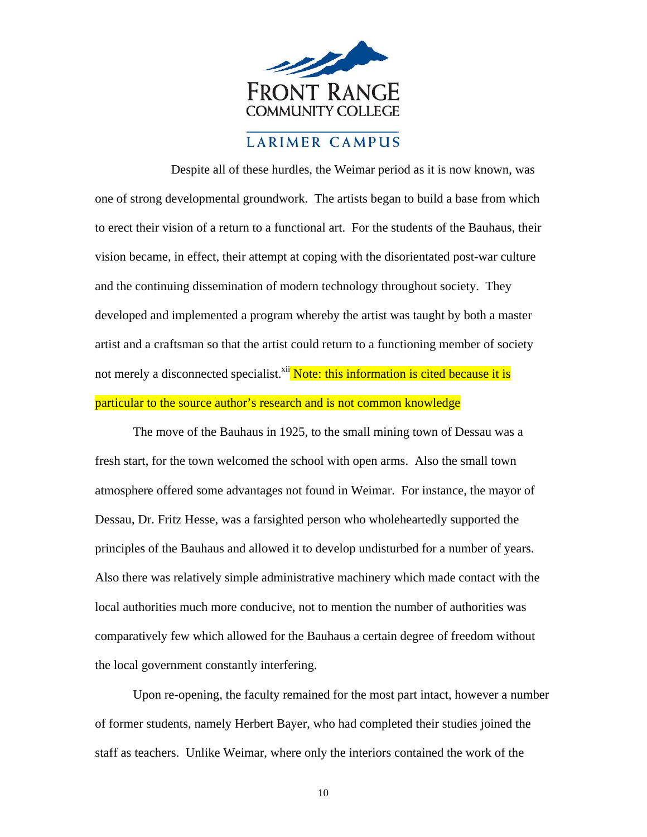

Despite all of these hurdles, the Weimar period as it is now known, was one of strong developmental groundwork. The artists began to build a base from which to erect their vision of a return to a functional art. For the students of the Bauhaus, their vision became, in effect, their attempt at coping with the disorientated post-war culture and the continuing dissemination of modern technology throughout society. They developed and implemented a program whereby the artist was taught by both a master artist and a craftsman so that the artist could return to a functioning member of society not merely a disconnected specialist.<sup>xii</sup> Note: this information is cited because it is particular to the source author's research and is not common knowledge

The move of the Bauhaus in 1925, to the small mining town of Dessau was a fresh start, for the town welcomed the school with open arms. Also the small town atmosphere offered some advantages not found in Weimar. For instance, the mayor of Dessau, Dr. Fritz Hesse, was a farsighted person who wholeheartedly supported the principles of the Bauhaus and allowed it to develop undisturbed for a number of years. Also there was relatively simple administrative machinery which made contact with the local authorities much more conducive, not to mention the number of authorities was comparatively few which allowed for the Bauhaus a certain degree of freedom without the local government constantly interfering.

Upon re-opening, the faculty remained for the most part intact, however a number of former students, namely Herbert Bayer, who had completed their studies joined the staff as teachers. Unlike Weimar, where only the interiors contained the work of the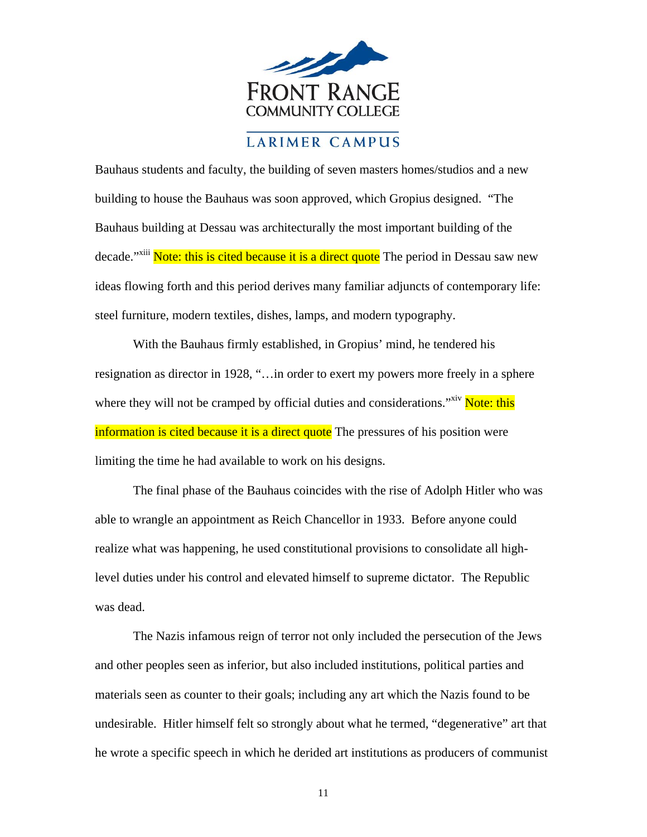

Bauhaus students and faculty, the building of seven masters homes/studios and a new building to house the Bauhaus was soon approved, which Gropius designed. "The Bauhaus building at Dessau was architecturally the most important building of the decade."<sup>xiii</sup> Note: this is cited because it is a direct quote The period in Dessau saw new ideas flowing forth and this period derives many familiar adjuncts of contemporary life: steel furniture, modern textiles, dishes, lamps, and modern typography.

With the Bauhaus firmly established, in Gropius' mind, he tendered his resignation as director in 1928, "…in order to exert my powers more freely in a sphere where they will not be cramped by official duties and considerations.<sup>"Xiv</sup> Note: this information is cited because it is a direct quote The pressures of his position were limiting the time he had available to work on his designs.

The final phase of the Bauhaus coincides with the rise of Adolph Hitler who was able to wrangle an appointment as Reich Chancellor in 1933. Before anyone could realize what was happening, he used constitutional provisions to consolidate all highlevel duties under his control and elevated himself to supreme dictator. The Republic was dead.

The Nazis infamous reign of terror not only included the persecution of the Jews and other peoples seen as inferior, but also included institutions, political parties and materials seen as counter to their goals; including any art which the Nazis found to be undesirable. Hitler himself felt so strongly about what he termed, "degenerative" art that he wrote a specific speech in which he derided art institutions as producers of communist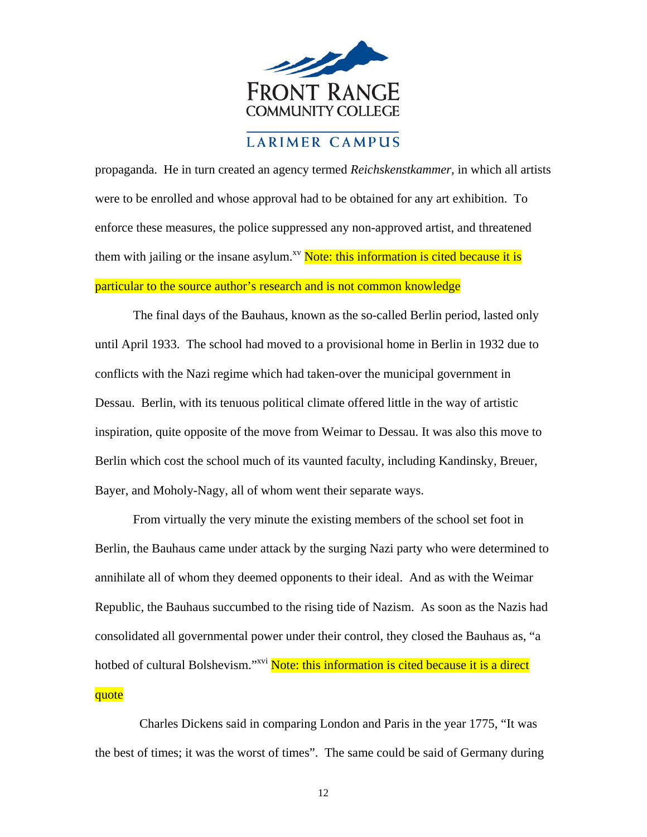

propaganda. He in turn created an agency termed *Reichskenstkammer,* in which all artists were to be enrolled and whose approval had to be obtained for any art exhibition. To enforce these measures, the police suppressed any non-approved artist, and threatened them with jailing or the insane asylum.<sup>xv</sup> Note: this information is cited because it is particular to the source author's research and is not common knowledge

The final days of the Bauhaus, known as the so-called Berlin period, lasted only until April 1933. The school had moved to a provisional home in Berlin in 1932 due to conflicts with the Nazi regime which had taken-over the municipal government in Dessau. Berlin, with its tenuous political climate offered little in the way of artistic inspiration, quite opposite of the move from Weimar to Dessau. It was also this move to Berlin which cost the school much of its vaunted faculty, including Kandinsky, Breuer, Bayer, and Moholy-Nagy, all of whom went their separate ways.

From virtually the very minute the existing members of the school set foot in Berlin, the Bauhaus came under attack by the surging Nazi party who were determined to annihilate all of whom they deemed opponents to their ideal. And as with the Weimar Republic, the Bauhaus succumbed to the rising tide of Nazism. As soon as the Nazis had consolidated all governmental power under their control, they closed the Bauhaus as, "a hotbed of cultural Bolshevism."<sup>xvi</sup> Note: this information is cited because it is a direct quote

Charles Dickens said in comparing London and Paris in the year 1775, "It was the best of times; it was the worst of times". The same could be said of Germany during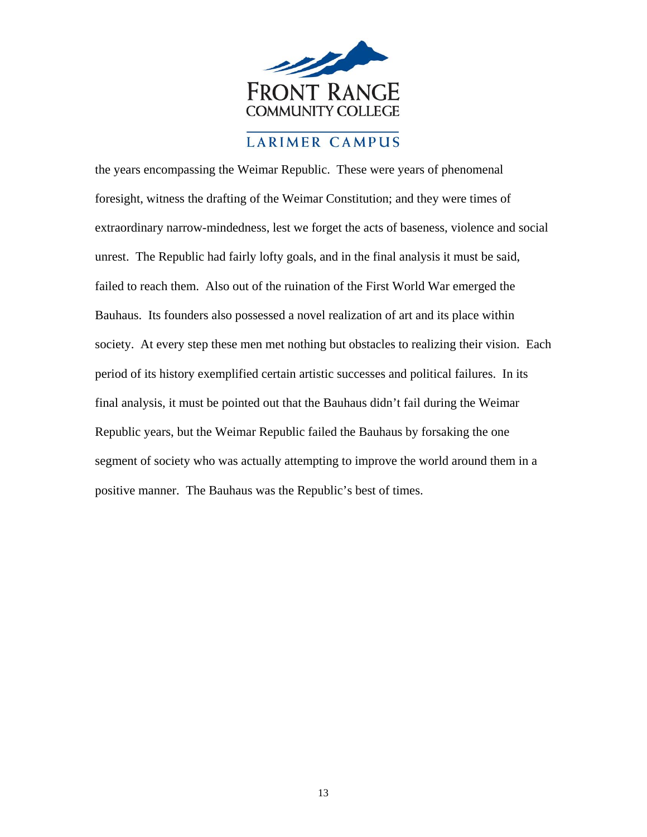

the years encompassing the Weimar Republic. These were years of phenomenal foresight, witness the drafting of the Weimar Constitution; and they were times of extraordinary narrow-mindedness, lest we forget the acts of baseness, violence and social unrest. The Republic had fairly lofty goals, and in the final analysis it must be said, failed to reach them. Also out of the ruination of the First World War emerged the Bauhaus. Its founders also possessed a novel realization of art and its place within society. At every step these men met nothing but obstacles to realizing their vision. Each period of its history exemplified certain artistic successes and political failures. In its final analysis, it must be pointed out that the Bauhaus didn't fail during the Weimar Republic years, but the Weimar Republic failed the Bauhaus by forsaking the one segment of society who was actually attempting to improve the world around them in a positive manner. The Bauhaus was the Republic's best of times.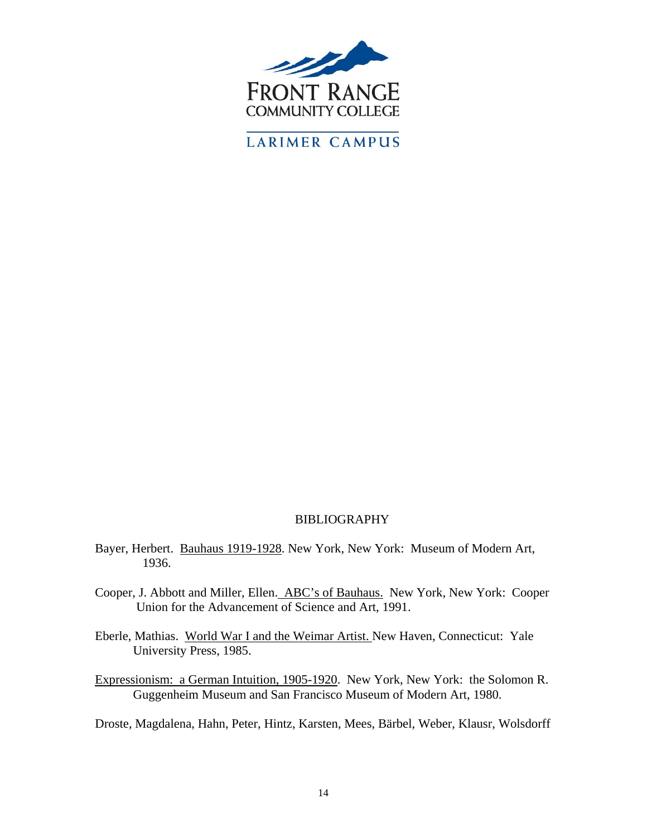

#### BIBLIOGRAPHY

- Bayer, Herbert. Bauhaus 1919-1928. New York, New York: Museum of Modern Art, 1936.
- Cooper, J. Abbott and Miller, Ellen. ABC's of Bauhaus. New York, New York: Cooper Union for the Advancement of Science and Art, 1991.
- Eberle, Mathias. World War I and the Weimar Artist. New Haven, Connecticut: Yale University Press, 1985.
- Expressionism: a German Intuition, 1905-1920. New York, New York: the Solomon R. Guggenheim Museum and San Francisco Museum of Modern Art, 1980.

Droste, Magdalena, Hahn, Peter, Hintz, Karsten, Mees, Bärbel, Weber, Klausr, Wolsdorff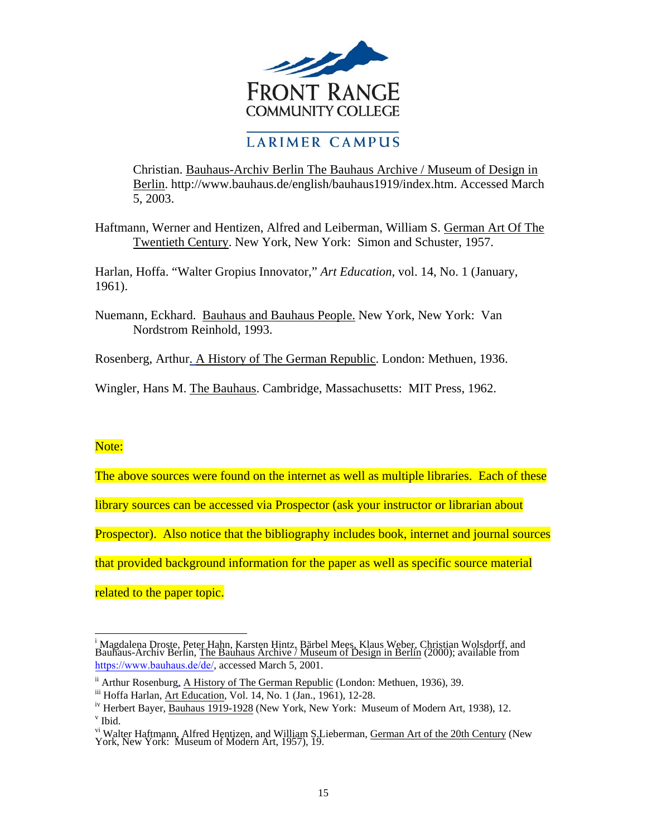

Christian. Bauhaus-Archiv Berlin The Bauhaus Archive / Museum of Design in Berlin. [http://www.bauhaus.de/english/bauhaus1919/index.htm.](https://www.bauhaus.de/de/) Accessed March 5, 2003.

Haftmann, Werner and Hentizen, Alfred and Leiberman, William S. German Art Of The Twentieth Century. New York, New York: Simon and Schuster, 1957.

Harlan, Hoffa. "Walter Gropius Innovator," *Art Education*, vol. 14, No. 1 (January, 1961).

Nuemann, Eckhard. Bauhaus and Bauhaus People. New York, New York: Van Nordstrom Reinhold, 1993.

Rosenberg, Arthur. A History of The German Republic. London: Methuen, 1936.

Wingler, Hans M. The Bauhaus. Cambridge, Massachusetts: MIT Press, 1962.

#### Note:

 $\overline{a}$ 

The above sources were found on the internet as well as multiple libraries. Each of these

library sources can be accessed via Prospector (ask your instructor or librarian about

Prospector). Also notice that the bibliography includes book, internet and journal sources

that provided background information for the paper as well as specific source material

related to the paper topic.

<sup>&</sup>lt;sup>i</sup> Magdalena Droste, Peter Hahn, Karsten Hintz, Bärbel Mees, Klaus Weber, Christian Wolsdorff, and<br>Bauhaus-Archiv Berlin, The Bauhaus Archive / Museum of Design in Berlin (2000); available from <https://www.bauhaus.de/de/>, accessed March 5, 2001.

ii Arthur Rosenburg, A History of The German Republic (London: Methuen, 1936), 39.

iii Hoffa Harlan, Art Education, Vol. 14, No. 1 (Jan., 1961), 12-28.

<sup>&</sup>lt;sup>iv</sup> Herbert Bayer, Bauhaus 1919-1928 (New York, New York: Museum of Modern Art, 1938), 12. v Ibid.

<sup>&</sup>lt;sup>vi</sup> Walter Haftmann, Alfred Hentizen, and William S.Lieberman, <u>German Art of the 20th Century</u> (New<br>York, New York: Museum of Modern Art, 1957), 19.